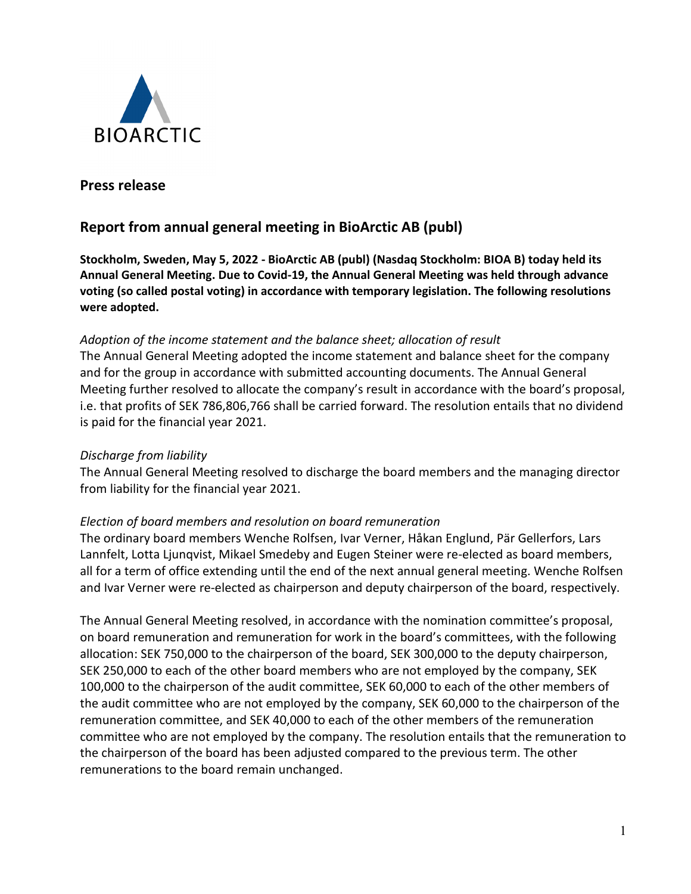

**Press release**

# **Report from annual general meeting in BioArctic AB (publ)**

**Stockholm, Sweden, May 5, 2022 - BioArctic AB (publ) (Nasdaq Stockholm: BIOA B) today held its Annual General Meeting. Due to Covid-19, the Annual General Meeting was held through advance voting (so called postal voting) in accordance with temporary legislation. The following resolutions were adopted.**

# *Adoption of the income statement and the balance sheet; allocation of result*

The Annual General Meeting adopted the income statement and balance sheet for the company and for the group in accordance with submitted accounting documents. The Annual General Meeting further resolved to allocate the company's result in accordance with the board's proposal, i.e. that profits of SEK 786,806,766 shall be carried forward. The resolution entails that no dividend is paid for the financial year 2021.

# *Discharge from liability*

The Annual General Meeting resolved to discharge the board members and the managing director from liability for the financial year 2021.

# *Election of board members and resolution on board remuneration*

The ordinary board members Wenche Rolfsen, Ivar Verner, Håkan Englund, Pär Gellerfors, Lars Lannfelt, Lotta Ljunqvist, Mikael Smedeby and Eugen Steiner were re-elected as board members, all for a term of office extending until the end of the next annual general meeting. Wenche Rolfsen and Ivar Verner were re-elected as chairperson and deputy chairperson of the board, respectively.

The Annual General Meeting resolved, in accordance with the nomination committee's proposal, on board remuneration and remuneration for work in the board's committees, with the following allocation: SEK 750,000 to the chairperson of the board, SEK 300,000 to the deputy chairperson, SEK 250,000 to each of the other board members who are not employed by the company, SEK 100,000 to the chairperson of the audit committee, SEK 60,000 to each of the other members of the audit committee who are not employed by the company, SEK 60,000 to the chairperson of the remuneration committee, and SEK 40,000 to each of the other members of the remuneration committee who are not employed by the company. The resolution entails that the remuneration to the chairperson of the board has been adjusted compared to the previous term. The other remunerations to the board remain unchanged.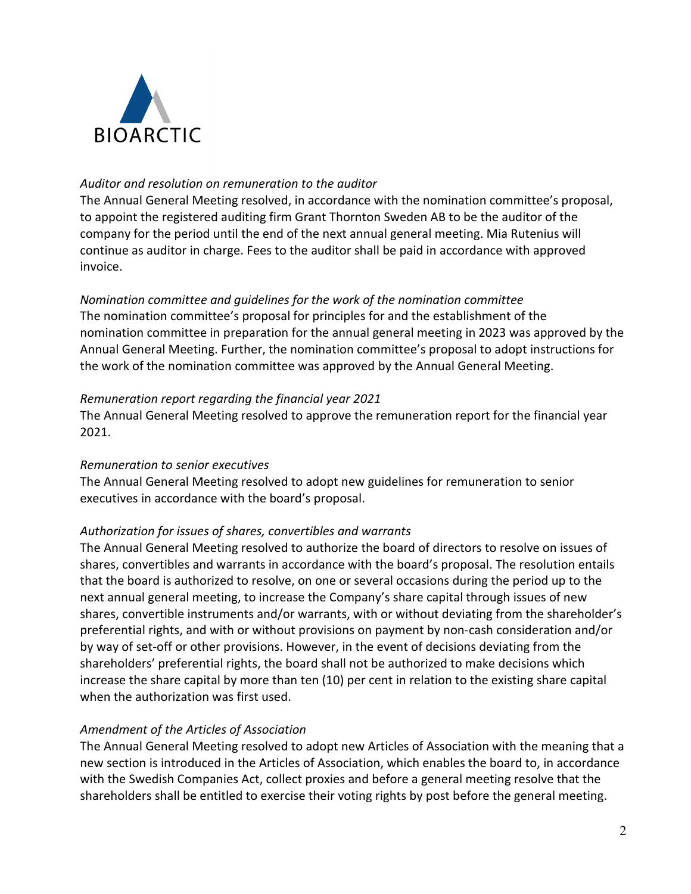

## *Auditor and resolution on remuneration to the auditor*

The Annual General Meeting resolved, in accordance with the nomination committee's proposal, to appoint the registered auditing firm Grant Thornton Sweden AB to be the auditor of the company for the period until the end of the next annual general meeting. Mia Rutenius will continue as auditor in charge. Fees to the auditor shall be paid in accordance with approved invoice.

# *Nomination committee and guidelines for the work of the nomination committee*

The nomination committee's proposal for principles for and the establishment of the nomination committee in preparation for the annual general meeting in 2023 was approved by the Annual General Meeting. Further, the nomination committee's proposal to adopt instructions for the work of the nomination committee was approved by the Annual General Meeting.

## *Remuneration report regarding the financial year 2021*

The Annual General Meeting resolved to approve the remuneration report for the financial year 2021.

#### *Remuneration to senior executives*

The Annual General Meeting resolved to adopt new guidelines for remuneration to senior executives in accordance with the board's proposal.

# *Authorization for issues of shares, convertibles and warrants*

The Annual General Meeting resolved to authorize the board of directors to resolve on issues of shares, convertibles and warrants in accordance with the board's proposal. The resolution entails that the board is authorized to resolve, on one or several occasions during the period up to the next annual general meeting, to increase the Company's share capital through issues of new shares, convertible instruments and/or warrants, with or without deviating from the shareholder's preferential rights, and with or without provisions on payment by non-cash consideration and/or by way of set-off or other provisions. However, in the event of decisions deviating from the shareholders' preferential rights, the board shall not be authorized to make decisions which increase the share capital by more than ten (10) per cent in relation to the existing share capital when the authorization was first used.

# *Amendment of the Articles of Association*

The Annual General Meeting resolved to adopt new Articles of Association with the meaning that a new section is introduced in the Articles of Association, which enables the board to, in accordance with the Swedish Companies Act, collect proxies and before a general meeting resolve that the shareholders shall be entitled to exercise their voting rights by post before the general meeting.